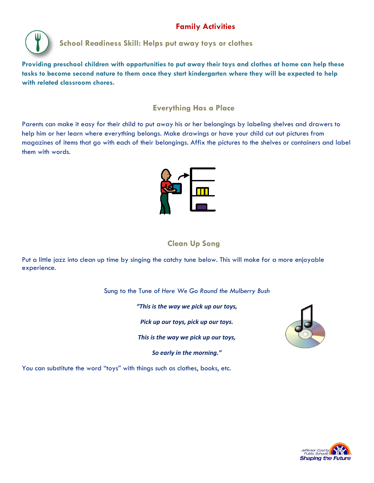## **Family Activities**



## **School Readiness Skill: Helps put away toys or clothes**

**Providing preschool children with opportunities to put away their toys and clothes at home can help these tasks to become second nature to them once they start kindergarten where they will be expected to help with related classroom chores.** 

#### **Everything Has a Place**

Parents can make it easy for their child to put away his or her belongings by labeling shelves and drawers to help him or her learn where everything belongs. Make drawings or have your child cut out pictures from magazines of items that go with each of their belongings. Affix the pictures to the shelves or containers and label them with words.



### **Clean Up Song**

Put a little jazz into clean up time by singing the catchy tune below. This will make for a more enjoyable experience.

Sung to the Tune of *Here We Go Round the Mulberry Bush*

*"This is the way we pick up our toys,* 

*Pick up our toys, pick up our toys.*

*This is the way we pick up our toys,*

*So early in the morning."*



You can substitute the word "toys" with things such as clothes, books, etc.

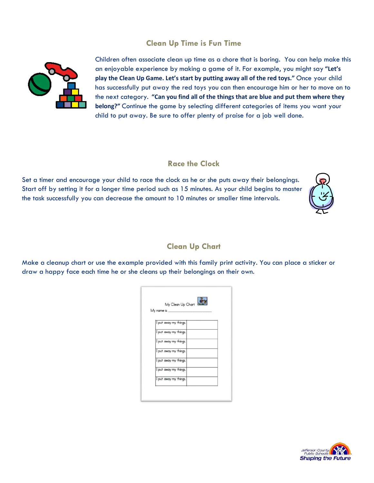#### **Clean Up Time is Fun Time**



Children often associate clean up time as a chore that is boring. You can help make this an enjoyable experience by making a game of it. For example, you might say **"Let's play the Clean Up Game. Let's start by putting away all of the red toys."** Once your child has successfully put away the red toys you can then encourage him or her to move on to the next category. **"Can you find all of the things that are blue and put them where they belong?"** Continue the game by selecting different categories of items you want your child to put away. Be sure to offer plenty of praise for a job well done.

#### **Race the Clock**

Set a timer and encourage your child to race the clock as he or she puts away their belongings. Start off by setting it for a longer time period such as 15 minutes. As your child begins to master the task successfully you can decrease the amount to 10 minutes or smaller time intervals.



#### **Clean Up Chart**

Make a cleanup chart or use the example provided with this family print activity. You can place a sticker or draw a happy face each time he or she cleans up their belongings on their own.

| My name is __ | My Clean Up Chart     |  |  |
|---------------|-----------------------|--|--|
|               | put away my things.   |  |  |
|               | I put away my things. |  |  |
|               | I put away my things. |  |  |
|               | I put away my things. |  |  |
|               | I put away my things. |  |  |
|               | put away my things.   |  |  |
|               | I put away my things. |  |  |